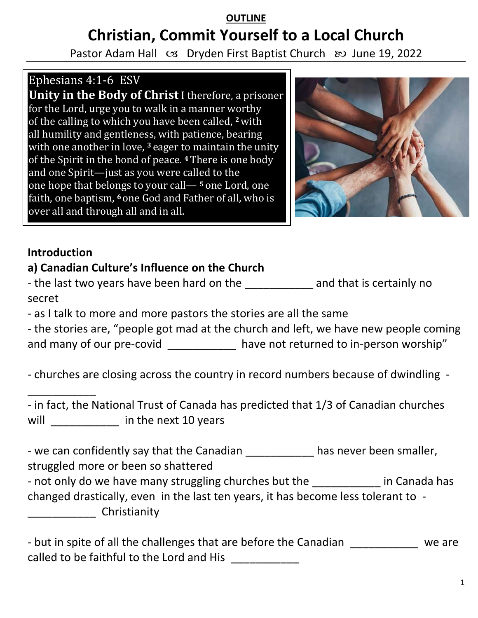# **OUTLINE Christian, Commit Yourself to a Local Church**

Pastor Adam Hall  $\infty$  Dryden First Baptist Church  $\infty$  June 19, 2022

## Ephesians 4:1-6 ESV

**Unity in the Body of Christ** I therefore, a prisoner for the Lord, urge you to walk in a manner worthy of the calling to which you have been called, **<sup>2</sup>**with all humility and gentleness, with patience, bearing with one another in love, <sup>3</sup> eager to maintain the unity of the Spirit in the bond of peace. **<sup>4</sup>**There is one body and one Spirit—just as you were called to the one hope that belongs to your call— **<sup>5</sup>** one Lord, one faith, one baptism, **<sup>6</sup>** one God and Father of all, who is over all and through all and in all.



#### **Introduction**

\_\_\_\_\_\_\_\_\_\_\_

#### **a) Canadian Culture's Influence on the Church**

- the last two years have been hard on the and that is certainly no secret

- as I talk to more and more pastors the stories are all the same

- the stories are, "people got mad at the church and left, we have new people coming and many of our pre-covid have not returned to in-person worship"

- churches are closing across the country in record numbers because of dwindling -

- in fact, the National Trust of Canada has predicted that 1/3 of Canadian churches will will be in the next 10 years

- we can confidently say that the Canadian \_\_\_\_\_\_\_\_\_\_\_ has never been smaller, struggled more or been so shattered

- not only do we have many struggling churches but the **Fig. 2** in Canada has changed drastically, even in the last ten years, it has become less tolerant to - \_\_\_\_\_\_\_\_\_\_\_ Christianity

| - but in spite of all the challenges that are before the Canadian | we are |
|-------------------------------------------------------------------|--------|
| called to be faithful to the Lord and His                         |        |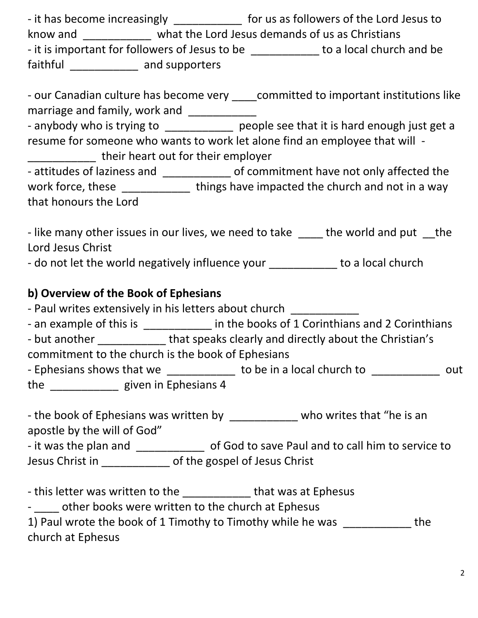- it has become increasingly \_\_\_\_\_\_\_\_\_\_\_\_\_\_ for us as followers of the Lord Jesus to know and \_\_\_\_\_\_\_\_\_\_\_ what the Lord Jesus demands of us as Christians - it is important for followers of Jesus to be \_\_\_\_\_\_\_\_\_\_\_\_\_ to a local church and be faithful \_\_\_\_\_\_\_\_\_\_\_\_ and supporters

|                                                      | - our Canadian culture has become very committed to important institutions like        |
|------------------------------------------------------|----------------------------------------------------------------------------------------|
| marriage and family, work and                        |                                                                                        |
|                                                      | - anybody who is trying to ______________ people see that it is hard enough just get a |
|                                                      | resume for someone who wants to work let alone find an employee that will -            |
| their heart out for their employer                   |                                                                                        |
| - attitudes of laziness and                          | of commitment have not only affected the                                               |
| work force, these                                    | things have impacted the church and not in a way                                       |
| that honours the Lord                                |                                                                                        |
|                                                      |                                                                                        |
| like many other issues in our lives, we need to take | tho world and put<br>$+ h \circ$                                                       |

- like many other issues in our lives, we need to take \_\_\_\_ the world and put \_\_the Lord Jesus Christ

- do not let the world negatively influence your to a local church

#### **b) Overview of the Book of Ephesians**

- Paul writes extensively in his letters about church

- an example of this is \_\_\_\_\_\_\_\_\_\_\_\_ in the books of 1 Corinthians and 2 Corinthians

- but another **that speaks clearly and directly about the Christian's** 

commitment to the church is the book of Ephesians

- Ephesians shows that we \_\_\_\_\_\_\_\_\_\_\_\_\_ to be in a local church to \_\_\_\_\_\_\_\_\_\_\_\_\_ out the \_\_\_\_\_\_\_\_\_\_\_ given in Ephesians 4

- the book of Ephesians was written by example who writes that "he is an apostle by the will of God"

- it was the plan and \_\_\_\_\_\_\_\_\_\_\_\_\_ of God to save Paul and to call him to service to Jesus Christ in \_\_\_\_\_\_\_\_\_\_\_ of the gospel of Jesus Christ

- this letter was written to the \_\_\_\_\_\_\_\_\_\_\_\_\_ that was at Ephesus

- other books were written to the church at Ephesus

| 1) Paul wrote the book of 1 Timothy to Timothy while he was | the. |
|-------------------------------------------------------------|------|
| church at Ephesus                                           |      |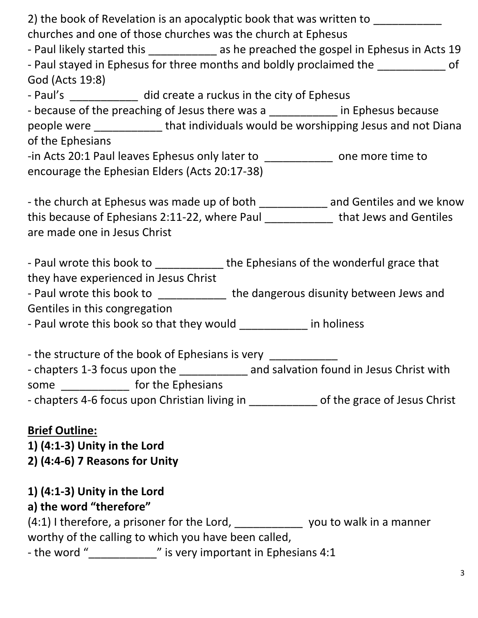| 2) the book of Revelation is an apocalyptic book that was written to                       |
|--------------------------------------------------------------------------------------------|
| churches and one of those churches was the church at Ephesus                               |
| - Paul likely started this _______________ as he preached the gospel in Ephesus in Acts 19 |
| - Paul stayed in Ephesus for three months and boldly proclaimed the _____________ of       |
| God (Acts 19:8)                                                                            |
| - Paul's ______________ did create a ruckus in the city of Ephesus                         |
| - because of the preaching of Jesus there was a ____________ in Ephesus because            |
| people were _______________that individuals would be worshipping Jesus and not Diana       |
| of the Ephesians                                                                           |
| -in Acts 20:1 Paul leaves Ephesus only later to _____________ one more time to             |
| encourage the Ephesian Elders (Acts 20:17-38)                                              |
|                                                                                            |
| - the church at Ephesus was made up of both ______________ and Gentiles and we know        |
| this because of Ephesians 2:11-22, where Paul ______________ that Jews and Gentiles        |
| are made one in Jesus Christ                                                               |
|                                                                                            |
| - Paul wrote this book to ______________the Ephesians of the wonderful grace that          |
| they have experienced in Jesus Christ                                                      |
| - Paul wrote this book to ____________ the dangerous disunity between Jews and             |
| Gentiles in this congregation                                                              |
| - Paul wrote this book so that they would ____________ in holiness                         |
|                                                                                            |
| - the structure of the book of Ephesians is very _____________                             |
| - chapters 1-3 focus upon the ______________ and salvation found in Jesus Christ with      |
| some _______________ for the Ephesians                                                     |
| - chapters 4-6 focus upon Christian living in _____________ of the grace of Jesus Christ   |
|                                                                                            |
| <b>Brief Outline:</b>                                                                      |

**1) (4:1-3) Unity in the Lord 2) (4:4-6) 7 Reasons for Unity** 

### **1) (4:1-3) Unity in the Lord**

### **a) the word "therefore"**

(4:1) I therefore, a prisoner for the Lord, \_\_\_\_\_\_\_\_\_\_\_\_\_\_\_ you to walk in a manner worthy of the calling to which you have been called,

- the word "\_\_\_\_\_\_\_\_\_\_\_\_\_\_" is very important in Ephesians 4:1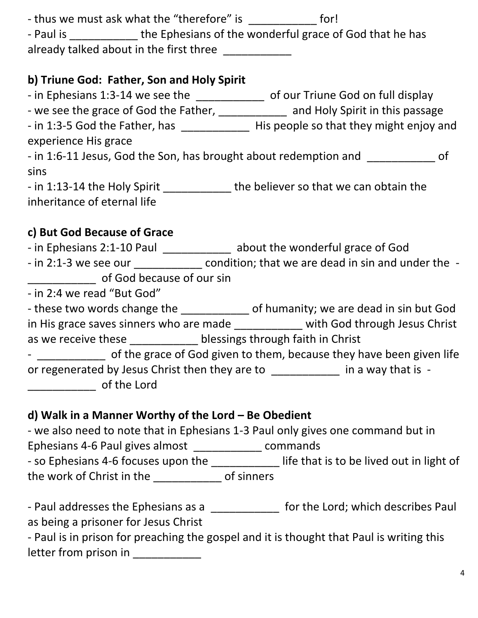- thus we must ask what the "therefore" is \_\_\_\_\_\_\_\_\_\_\_\_\_ for!

- Paul is the Ephesians of the wonderful grace of God that he has already talked about in the first three

#### **b) Triune God: Father, Son and Holy Spirit**

- in Ephesians 1:3-14 we see the \_\_\_\_\_\_\_\_\_\_\_\_\_\_\_ of our Triune God on full display

- we see the grace of God the Father, \_\_\_\_\_\_\_\_\_\_\_\_\_ and Holy Spirit in this passage

- in 1:3-5 God the Father, has \_\_\_\_\_\_\_\_\_\_\_\_\_\_\_ His people so that they might enjoy and experience His grace

- in 1:6-11 Jesus, God the Son, has brought about redemption and \_\_\_\_\_\_\_\_\_\_\_\_\_ of sins

- in 1:13-14 the Holy Spirit the believer so that we can obtain the inheritance of eternal life

### **c) But God Because of Grace**

- in Ephesians 2:1-10 Paul \_\_\_\_\_\_\_\_\_\_\_\_\_ about the wonderful grace of God

- in 2:1-3 we see our \_\_\_\_\_\_\_\_\_\_\_\_\_\_ condition; that we are dead in sin and under the of God because of our sin

- in 2:4 we read "But God"

- these two words change the \_\_\_\_\_\_\_\_\_\_\_\_\_ of humanity; we are dead in sin but God in His grace saves sinners who are made \_\_\_\_\_\_\_\_\_\_\_ with God through Jesus Christ as we receive these **blessings through faith in Christ** 

- \_\_\_\_\_\_\_\_\_\_\_\_\_ of the grace of God given to them, because they have been given life or regenerated by Jesus Christ then they are to \_\_\_\_\_\_\_\_\_\_\_\_ in a way that is -\_\_\_\_\_\_\_\_\_\_\_ of the Lord

### **d) Walk in a Manner Worthy of the Lord – Be Obedient**

- we also need to note that in Ephesians 1-3 Paul only gives one command but in Ephesians 4-6 Paul gives almost \_\_\_\_\_\_\_\_\_\_\_ commands - so Ephesians 4-6 focuses upon the \_\_\_\_\_\_\_\_\_\_\_\_\_ life that is to be lived out in light of the work of Christ in the \_\_\_\_\_\_\_\_\_\_\_ of sinners

- Paul addresses the Ephesians as a \_\_\_\_\_\_\_\_\_\_\_\_ for the Lord; which describes Paul as being a prisoner for Jesus Christ

- Paul is in prison for preaching the gospel and it is thought that Paul is writing this letter from prison in \_\_\_\_\_\_\_\_\_\_\_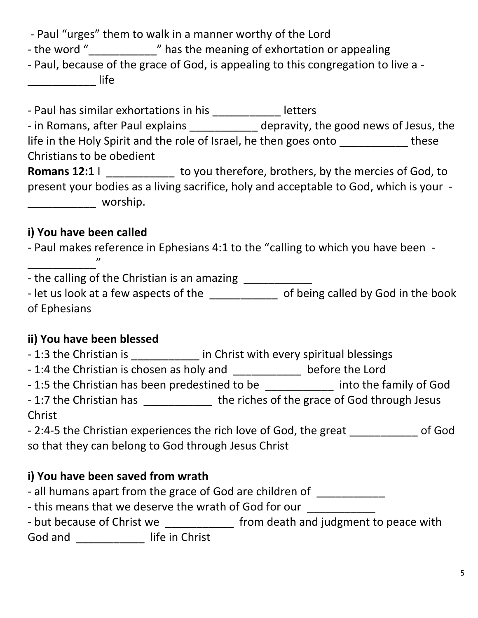- Paul "urges" them to walk in a manner worthy of the Lord

- the word "\_\_\_\_\_\_\_\_\_\_\_\_\_\_" has the meaning of exhortation or appealing

- Paul, because of the grace of God, is appealing to this congregation to live a - \_\_\_\_\_\_\_\_\_\_\_ life

- Paul has similar exhortations in his \_\_\_\_\_\_\_\_\_\_\_\_\_ letters - in Romans, after Paul explains \_\_\_\_\_\_\_\_\_\_\_ depravity, the good news of Jesus, the life in the Holy Spirit and the role of Israel, he then goes onto these Christians to be obedient Romans 12:1 I \_\_\_\_\_\_\_\_\_\_\_\_ to you therefore, brothers, by the mercies of God, to

present your bodies as a living sacrifice, holy and acceptable to God, which is your - \_\_\_\_\_\_\_\_\_\_\_ worship.

### **i) You have been called**

\_\_\_\_\_\_\_\_\_\_\_"

- Paul makes reference in Ephesians 4:1 to the "calling to which you have been -

- the calling of the Christian is an amazing \_\_\_\_\_\_\_\_\_

- let us look at a few aspects of the \_\_\_\_\_\_\_\_\_\_\_\_\_ of being called by God in the book of Ephesians

### **ii) You have been blessed**

- 1:3 the Christian is \_\_\_\_\_\_\_\_\_\_\_\_\_ in Christ with every spiritual blessings

- 1:4 the Christian is chosen as holy and \_\_\_\_\_\_\_\_\_\_\_\_\_ before the Lord

- 1:5 the Christian has been predestined to be each into the family of God

- 1:7 the Christian has \_\_\_\_\_\_\_\_\_\_\_\_\_ the riches of the grace of God through Jesus Christ

- 2:4-5 the Christian experiences the rich love of God, the great of God so that they can belong to God through Jesus Christ

### **i) You have been saved from wrath**

- all humans apart from the grace of God are children of

- this means that we deserve the wrath of God for our

- but because of Christ we \_\_\_\_\_\_\_\_\_\_\_\_\_ from death and judgment to peace with God and \_\_\_\_\_\_\_\_\_\_\_\_\_\_ life in Christ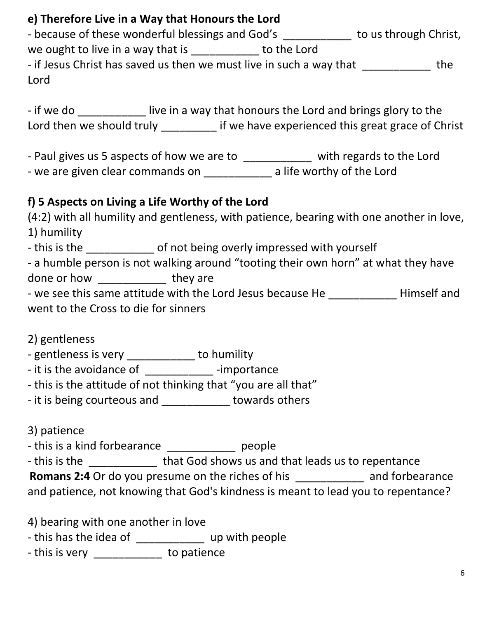#### **e) Therefore Live in a Way that Honours the Lord**

| - because of these wonderful blessings and God's                    |             | to us through Christ, |     |
|---------------------------------------------------------------------|-------------|-----------------------|-----|
| we ought to live in a way that is                                   | to the Lord |                       |     |
| - if Jesus Christ has saved us then we must live in such a way that |             |                       | the |
| Lord                                                                |             |                       |     |

- if we do **Lacelly is a way that honours the Lord and brings glory to the** Lord then we should truly \_\_\_\_\_\_\_\_\_ if we have experienced this great grace of Christ

- Paul gives us 5 aspects of how we are to \_\_\_\_\_\_\_\_\_\_\_ with regards to the Lord - we are given clear commands on \_\_\_\_\_\_\_\_\_\_\_\_\_ a life worthy of the Lord

#### **f) 5 Aspects on Living a Life Worthy of the Lord**

|                                                                                                                | (4:2) with all humility and gentleness, with patience, bearing with one another in love, |             |
|----------------------------------------------------------------------------------------------------------------|------------------------------------------------------------------------------------------|-------------|
| 1) humility                                                                                                    |                                                                                          |             |
| - this is the                                                                                                  | of not being overly impressed with yourself                                              |             |
|                                                                                                                | - a humble person is not walking around "tooting their own horn" at what they have       |             |
| done or how and the state of the state of the state of the state of the state of the state of the state of the | they are                                                                                 |             |
|                                                                                                                | - we see this same attitude with the Lord Jesus because He                               | Himself and |
| went to the Cross to die for sinners                                                                           |                                                                                          |             |
|                                                                                                                |                                                                                          |             |

2) gentleness

- gentleness is very \_\_\_\_\_\_\_\_\_\_\_ to humility
- it is the avoidance of \_\_\_\_\_\_\_\_\_\_\_\_\_\_\_\_-importance
- this is the attitude of not thinking that "you are all that"
- it is being courteous and \_\_\_\_\_\_\_\_\_\_\_ towards others

3) patience

- this is a kind forbearance being people

- this is the **that God shows us and that leads us to repentance** 

**Romans 2:4** Or do you presume on the riches of his \_\_\_\_\_\_\_\_\_\_\_ and forbearance

and patience, not knowing that God's kindness is meant to lead you to repentance?

4) bearing with one another in love

- this has the idea of \_\_\_\_\_\_\_\_\_\_\_\_\_\_ up with people

- this is very \_\_\_\_\_\_\_\_\_\_\_\_ to patience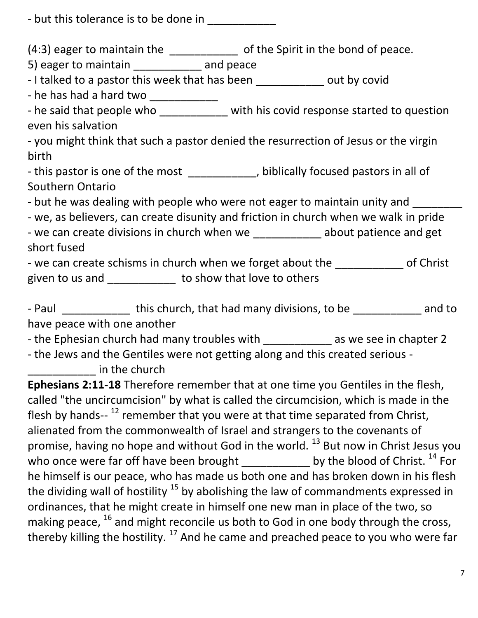- but this tolerance is to be done in

(4:3) eager to maintain the \_\_\_\_\_\_\_\_\_\_\_\_\_\_ of the Spirit in the bond of peace.

5) eager to maintain \_\_\_\_\_\_\_\_\_\_\_ and peace

- I talked to a pastor this week that has been \_\_\_\_\_\_\_\_\_\_\_\_ out by covid

- he has had a hard two \_\_\_\_\_\_\_\_\_\_\_\_\_

- he said that people who \_\_\_\_\_\_\_\_\_\_\_ with his covid response started to question even his salvation

- you might think that such a pastor denied the resurrection of Jesus or the virgin birth

- this pastor is one of the most \_\_\_\_\_\_\_\_\_\_\_, biblically focused pastors in all of Southern Ontario

- but he was dealing with people who were not eager to maintain unity and

- we, as believers, can create disunity and friction in church when we walk in pride

- we can create divisions in church when we \_\_\_\_\_\_\_\_\_\_\_\_ about patience and get short fused

- we can create schisms in church when we forget about the \_\_\_\_\_\_\_\_\_\_\_\_ of Christ given to us and \_\_\_\_\_\_\_\_\_\_\_\_ to show that love to others

- Paul this church, that had many divisions, to be and to have peace with one another

- the Ephesian church had many troubles with as we see in chapter 2

- the Jews and the Gentiles were not getting along and this created serious decription in the church

**Ephesians 2:11-18** Therefore remember that at one time you Gentiles in the flesh, called "the uncircumcision" by what is called the circumcision, which is made in the flesh by hands-- <sup>12</sup> remember that you were at that time separated from Christ, alienated from the commonwealth of Israel and strangers to the covenants of promise, having no hope and without God in the world.  $^{13}$  But now in Christ Jesus you who once were far off have been brought  $\frac{1}{2}$  \_\_\_\_\_\_\_\_\_\_\_\_ by the blood of Christ.  $^{14}$  For he himself is our peace, who has made us both one and has broken down in his flesh the dividing wall of hostility  $15$  by abolishing the law of commandments expressed in ordinances, that he might create in himself one new man in place of the two, so making peace,  $^{16}$  and might reconcile us both to God in one body through the cross, thereby killing the hostility.<sup>17</sup> And he came and preached peace to you who were far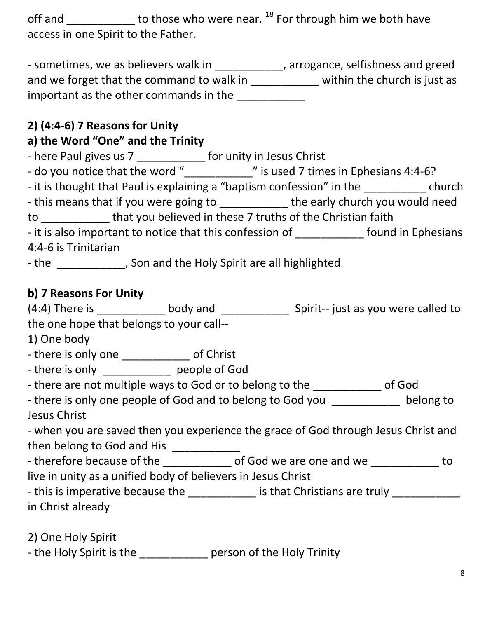off and  $\frac{1}{\sqrt{1-\frac{1}{n}}}$  to those who were near. <sup>18</sup> For through him we both have access in one Spirit to the Father.

- sometimes, we as believers walk in \_\_\_\_\_\_\_\_\_\_\_\_, arrogance, selfishness and greed and we forget that the command to walk in \_\_\_\_\_\_\_\_\_\_\_\_ within the church is just as important as the other commands in the

### **2) (4:4-6) 7 Reasons for Unity**

### **a) the Word "One" and the Trinity**

| - here Paul gives us 7                                                | for unity in Jesus Christ             |        |
|-----------------------------------------------------------------------|---------------------------------------|--------|
| - do you notice that the word "                                       | " is used 7 times in Ephesians 4:4-6? |        |
| - it is thought that Paul is explaining a "baptism confession" in the |                                       | church |

- this means that if you were going to the early church you would need

to \_\_\_\_\_\_\_\_\_\_\_ that you believed in these 7 truths of the Christian faith

| - it is also important to notice that this confession of | found in Ephesians |
|----------------------------------------------------------|--------------------|
| 4:4-6 is Trinitarian                                     |                    |

- the \_\_\_\_\_\_\_\_\_\_\_\_\_, Son and the Holy Spirit are all highlighted

#### **b) 7 Reasons For Unity**

| $(4:4)$ There is                         | body and | Spirit-- just as you were called to |
|------------------------------------------|----------|-------------------------------------|
| the one hope that belongs to your call-- |          |                                     |

1) One body

- there is only one \_\_\_\_\_\_\_\_\_\_\_\_\_\_ of Christ

- there is only \_\_\_\_\_\_\_\_\_\_\_\_\_\_ people of God

- there are not multiple ways to God or to belong to the \_\_\_\_\_\_\_\_\_\_\_\_\_\_ of God

- there is only one people of God and to belong to God you \_\_\_\_\_\_\_\_\_\_\_\_ belong to Jesus Christ

- when you are saved then you experience the grace of God through Jesus Christ and then belong to God and His \_\_\_\_\_\_\_\_\_\_\_\_\_

- therefore because of the \_\_\_\_\_\_\_\_\_\_\_\_\_ of God we are one and we do to

live in unity as a unified body of believers in Jesus Christ

- this is imperative because the \_\_\_\_\_\_\_\_\_\_\_\_ is that Christians are truly \_\_\_\_\_\_\_\_\_\_ in Christ already

2) One Holy Spirit

- the Holy Spirit is the \_\_\_\_\_\_\_\_\_\_\_\_\_ person of the Holy Trinity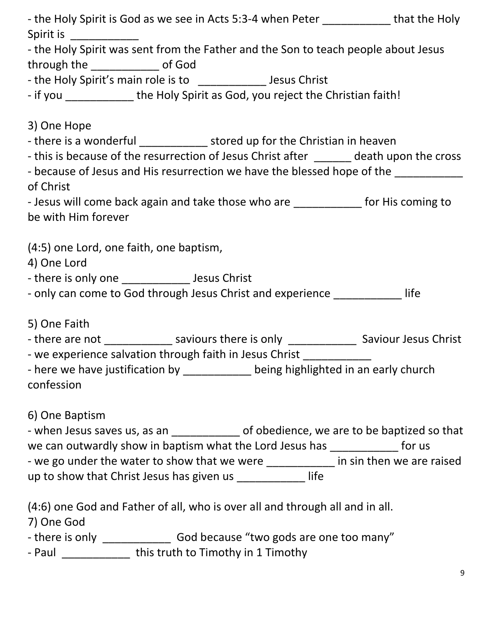|                                   | - the Holy Spirit is God as we see in Acts 5:3-4 when Peter _____________ that the Holy       |  |
|-----------------------------------|-----------------------------------------------------------------------------------------------|--|
| Spirit is ___________             |                                                                                               |  |
|                                   | - the Holy Spirit was sent from the Father and the Son to teach people about Jesus            |  |
| through the ______________ of God |                                                                                               |  |
|                                   | - the Holy Spirit's main role is to ______________ Jesus Christ                               |  |
|                                   | - if you _______________ the Holy Spirit as God, you reject the Christian faith!              |  |
|                                   |                                                                                               |  |
| 3) One Hope                       |                                                                                               |  |
|                                   | - there is a wonderful ________________ stored up for the Christian in heaven                 |  |
|                                   | - this is because of the resurrection of Jesus Christ after ______ death upon the cross       |  |
|                                   | - because of Jesus and His resurrection we have the blessed hope of the _________             |  |
| of Christ                         |                                                                                               |  |
|                                   | - Jesus will come back again and take those who are _____________ for His coming to           |  |
| be with Him forever               |                                                                                               |  |
|                                   | (4:5) one Lord, one faith, one baptism,                                                       |  |
| 4) One Lord                       |                                                                                               |  |
|                                   |                                                                                               |  |
|                                   | - only can come to God through Jesus Christ and experience ______________life                 |  |
|                                   |                                                                                               |  |
| 5) One Faith                      |                                                                                               |  |
|                                   | - there are not _______________ saviours there is only _________________ Saviour Jesus Christ |  |
|                                   | - we experience salvation through faith in Jesus Christ _____________                         |  |
|                                   | - here we have justification by ___________ being highlighted in an early church              |  |
| confession                        |                                                                                               |  |
|                                   |                                                                                               |  |
| 6) One Baptism                    |                                                                                               |  |
|                                   | - when Jesus saves us, as an _____________ of obedience, we are to be baptized so that        |  |
|                                   | we can outwardly show in baptism what the Lord Jesus has ______________ for us                |  |
|                                   | - we go under the water to show that we were ___________ in sin then we are raised            |  |
|                                   | up to show that Christ Jesus has given us _____________ life                                  |  |
|                                   | (4:6) one God and Father of all, who is over all and through all and in all.                  |  |
| 7) One God                        |                                                                                               |  |
|                                   |                                                                                               |  |
|                                   | - Paul _______________ this truth to Timothy in 1 Timothy                                     |  |
|                                   |                                                                                               |  |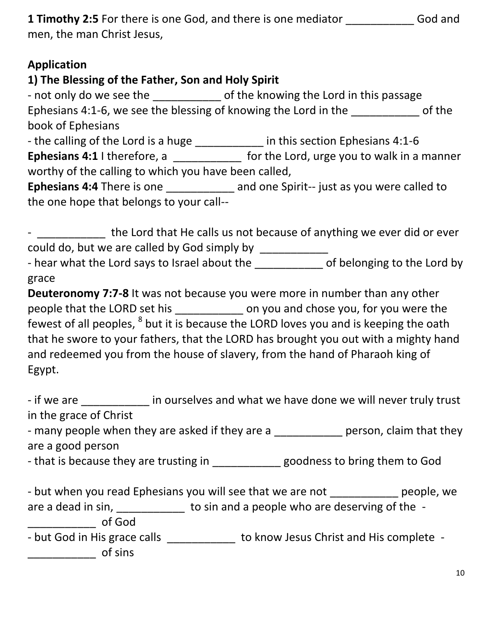| <b>1 Timothy 2:5</b> For there is one God, and there is one mediator | God and |
|----------------------------------------------------------------------|---------|
| men, the man Christ Jesus,                                           |         |

#### **Application**

#### **1) The Blessing of the Father, Son and Holy Spirit**

- not only do we see the \_\_\_\_\_\_\_\_\_\_\_\_\_ of the knowing the Lord in this passage Ephesians 4:1-6, we see the blessing of knowing the Lord in the \_\_\_\_\_\_\_\_\_\_\_\_\_\_\_\_\_ of the book of Ephesians - the calling of the Lord is a huge \_\_\_\_\_\_\_\_\_\_\_\_ in this section Ephesians 4:1-6 **Ephesians 4:1** I therefore, a \_\_\_\_\_\_\_\_\_\_\_\_\_\_ for the Lord, urge you to walk in a manner worthy of the calling to which you have been called, **Ephesians 4:4** There is one \_\_\_\_\_\_\_\_\_\_\_ and one Spirit-- just as you were called to the one hope that belongs to your call--

- \_\_\_\_\_\_\_\_\_\_\_ the Lord that He calls us not because of anything we ever did or ever could do, but we are called by God simply by \_\_\_\_\_\_\_\_\_\_\_\_ - hear what the Lord says to Israel about the \_\_\_\_\_\_\_\_\_\_\_\_\_ of belonging to the Lord by

grace

**Deuteronomy 7:7-8** It was not because you were more in number than any other people that the LORD set his \_\_\_\_\_\_\_\_\_\_\_ on you and chose you, for you were the fewest of all peoples, <sup>8</sup> but it is because the LORD loves you and is keeping the oath that he swore to your fathers, that the LORD has brought you out with a mighty hand and redeemed you from the house of slavery, from the hand of Pharaoh king of Egypt.

- if we are **Example 20** in ourselves and what we have done we will never truly trust in the grace of Christ

- many people when they are asked if they are a zero person, claim that they are a good person

- that is because they are trusting in \_\_\_\_\_\_\_\_\_\_\_\_goodness to bring them to God

- but when you read Ephesians you will see that we are not \_\_\_\_\_\_\_\_\_\_\_\_\_ people, we are a dead in sin, \_\_\_\_\_\_\_\_\_\_\_\_\_ to sin and a people who are deserving of the -\_\_\_\_\_\_\_\_\_\_\_ of God

- but God in His grace calls \_\_\_\_\_\_\_\_\_\_\_\_ to know Jesus Christ and His complete - $\sqrt{a^2 + b^2}$  of sins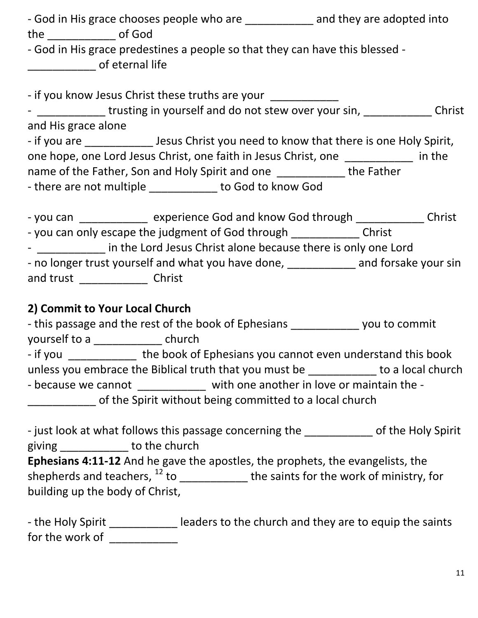| - God in His grace chooses people who are _____________ and they are adopted into                                                                                                                                              |  |
|--------------------------------------------------------------------------------------------------------------------------------------------------------------------------------------------------------------------------------|--|
| - God in His grace predestines a people so that they can have this blessed -<br>______________________ of eternal life                                                                                                         |  |
| - if you know Jesus Christ these truths are your ____________                                                                                                                                                                  |  |
| - ______________trusting in yourself and do not stew over your sin, _____________Christ                                                                                                                                        |  |
| and His grace alone                                                                                                                                                                                                            |  |
| - if you are ________________ Jesus Christ you need to know that there is one Holy Spirit,                                                                                                                                     |  |
| one hope, one Lord Jesus Christ, one faith in Jesus Christ, one ___________ in the                                                                                                                                             |  |
| name of the Father, Son and Holy Spirit and one ____________ the Father                                                                                                                                                        |  |
| - there are not multiple ____________ to God to know God                                                                                                                                                                       |  |
|                                                                                                                                                                                                                                |  |
| - you can _____________ experience God and know God through _____________ Christ                                                                                                                                               |  |
| - you can only escape the judgment of God through _______________ Christ                                                                                                                                                       |  |
| - 1997 - 1997 in the Lord Jesus Christ alone because there is only one Lord                                                                                                                                                    |  |
| - no longer trust yourself and what you have done, ____________ and forsake your sin                                                                                                                                           |  |
| and trust ___________________ Christ                                                                                                                                                                                           |  |
|                                                                                                                                                                                                                                |  |
| 2) Commit to Your Local Church                                                                                                                                                                                                 |  |
| - this passage and the rest of the book of Ephesians _______________ you to commit                                                                                                                                             |  |
| yourself to a ______________ church                                                                                                                                                                                            |  |
| - if you _____________ the book of Ephesians you cannot even understand this book                                                                                                                                              |  |
| unless you embrace the Biblical truth that you must be ___________ to a local church                                                                                                                                           |  |
| and the contract of the contract of the contract of the contract of the contract of the contract of the contract of the contract of the contract of the contract of the contract of the contract of the contract of the contra |  |

- because we cannot **with one another in love or maintain the -**

\_\_\_\_\_\_\_\_\_\_\_ of the Spirit without being committed to a local church

- just look at what follows this passage concerning the **the contact of the Holy Spirit** giving to the church **Ephesians 4:11-12** And he gave the apostles, the prophets, the evangelists, the shepherds and teachers,  $12$  to \_\_\_\_\_\_\_\_\_\_\_\_\_ the saints for the work of ministry, for building up the body of Christ,

- the Holy Spirit \_\_\_\_\_\_\_\_\_\_\_\_\_ leaders to the church and they are to equip the saints for the work of \_\_\_\_\_\_\_\_\_\_\_\_